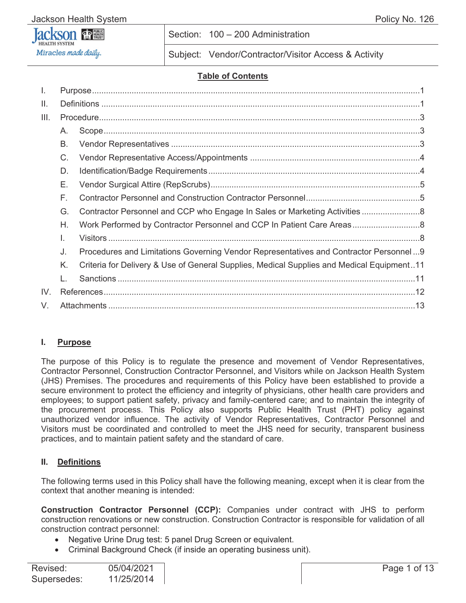# Miracles made daily.

Section: 100 – 200 Administration

Subject: Vendor/Contractor/Visitor Access & Activity

#### **Table of Contents**

| I.   |         |                                                                                           |  |
|------|---------|-------------------------------------------------------------------------------------------|--|
| Ш.   |         |                                                                                           |  |
| III. |         |                                                                                           |  |
|      | $A_{1}$ |                                                                                           |  |
|      | В.      |                                                                                           |  |
|      | C.      |                                                                                           |  |
|      | D.      |                                                                                           |  |
|      | Е.      |                                                                                           |  |
|      | F.      |                                                                                           |  |
|      | G.      |                                                                                           |  |
|      | Η.      |                                                                                           |  |
|      | I.      |                                                                                           |  |
|      | J.      | Procedures and Limitations Governing Vendor Representatives and Contractor Personnel9     |  |
|      | K.      | Criteria for Delivery & Use of General Supplies, Medical Supplies and Medical Equipment11 |  |
|      |         |                                                                                           |  |
| IV.  |         |                                                                                           |  |
| V.   |         |                                                                                           |  |

#### **I. Purpose**

The purpose of this Policy is to regulate the presence and movement of Vendor Representatives, Contractor Personnel, Construction Contractor Personnel, and Visitors while on Jackson Health System (JHS) Premises. The procedures and requirements of this Policy have been established to provide a secure environment to protect the efficiency and integrity of physicians, other health care providers and employees; to support patient safety, privacy and family-centered care; and to maintain the integrity of the procurement process. This Policy also supports Public Health Trust (PHT) policy against unauthorized vendor influence. The activity of Vendor Representatives, Contractor Personnel and Visitors must be coordinated and controlled to meet the JHS need for security, transparent business practices, and to maintain patient safety and the standard of care.

#### **II. Definitions**

The following terms used in this Policy shall have the following meaning, except when it is clear from the context that another meaning is intended:

**Construction Contractor Personnel (CCP):** Companies under contract with JHS to perform construction renovations or new construction. Construction Contractor is responsible for validation of all construction contract personnel:

- Negative Urine Drug test: 5 panel Drug Screen or equivalent.
- Criminal Background Check (if inside an operating business unit).

| Revised:    | 05/04/2021 |
|-------------|------------|
| Supersedes: | 11/25/2014 |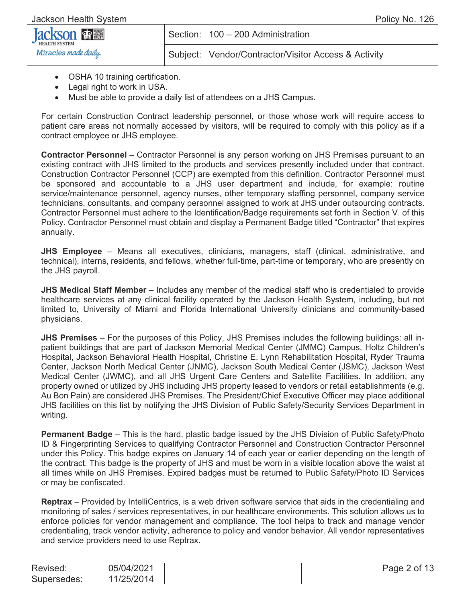| <b>Jackson since</b> |  |
|----------------------|--|
| Miracles made daily. |  |

Subject: Vendor/Contractor/Visitor Access & Activity

- OSHA 10 training certification.
- Legal right to work in USA.
- Must be able to provide a daily list of attendees on a JHS Campus.

For certain Construction Contract leadership personnel, or those whose work will require access to patient care areas not normally accessed by visitors, will be required to comply with this policy as if a contract employee or JHS employee.

**Contractor Personnel** – Contractor Personnel is any person working on JHS Premises pursuant to an existing contract with JHS limited to the products and services presently included under that contract. Construction Contractor Personnel (CCP) are exempted from this definition. Contractor Personnel must be sponsored and accountable to a JHS user department and include, for example: routine service/maintenance personnel, agency nurses, other temporary staffing personnel, company service technicians, consultants, and company personnel assigned to work at JHS under outsourcing contracts. Contractor Personnel must adhere to the Identification/Badge requirements set forth in Section V. of this Policy. Contractor Personnel must obtain and display a Permanent Badge titled "Contractor" that expires annually.

**JHS Employee** – Means all executives, clinicians, managers, staff (clinical, administrative, and technical), interns, residents, and fellows, whether full-time, part-time or temporary, who are presently on the JHS payroll.

**JHS Medical Staff Member** – Includes any member of the medical staff who is credentialed to provide healthcare services at any clinical facility operated by the Jackson Health System, including, but not limited to, University of Miami and Florida International University clinicians and community-based physicians.

**JHS Premises** – For the purposes of this Policy, JHS Premises includes the following buildings: all inpatient buildings that are part of Jackson Memorial Medical Center (JMMC) Campus, Holtz Children's Hospital, Jackson Behavioral Health Hospital, Christine E. Lynn Rehabilitation Hospital, Ryder Trauma Center, Jackson North Medical Center (JNMC), Jackson South Medical Center (JSMC), Jackson West Medical Center (JWMC), and all JHS Urgent Care Centers and Satellite Facilities. In addition, any property owned or utilized by JHS including JHS property leased to vendors or retail establishments (e.g. Au Bon Pain) are considered JHS Premises. The President/Chief Executive Officer may place additional JHS facilities on this list by notifying the JHS Division of Public Safety/Security Services Department in writing.

**Permanent Badge** – This is the hard, plastic badge issued by the JHS Division of Public Safety/Photo ID & Fingerprinting Services to qualifying Contractor Personnel and Construction Contractor Personnel under this Policy. This badge expires on January 14 of each year or earlier depending on the length of the contract. This badge is the property of JHS and must be worn in a visible location above the waist at all times while on JHS Premises. Expired badges must be returned to Public Safety/Photo ID Services or may be confiscated.

**Reptrax** – Provided by IntelliCentrics, is a web driven software service that aids in the credentialing and monitoring of sales / services representatives, in our healthcare environments. This solution allows us to enforce policies for vendor management and compliance. The tool helps to track and manage vendor credentialing, track vendor activity, adherence to policy and vendor behavior. All vendor representatives and service providers need to use Reptrax.

| Revised:    | 05/04/2021 |
|-------------|------------|
| Supersedes: | 11/25/2014 |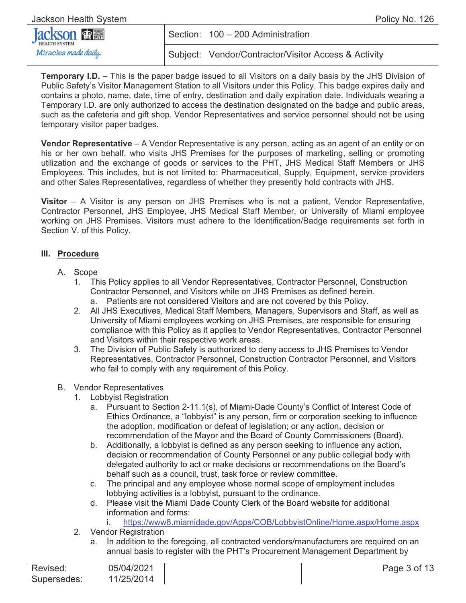| Jackson Health System  | Policy No. 126 |                                                      |
|------------------------|----------------|------------------------------------------------------|
| <b>Jackson SEPRING</b> |                | Section: 100 - 200 Administration                    |
| Miracles made daily.   |                | Subject: Vendor/Contractor/Visitor Access & Activity |

**Temporary I.D.** – This is the paper badge issued to all Visitors on a daily basis by the JHS Division of Public Safety's Visitor Management Station to all Visitors under this Policy. This badge expires daily and contains a photo, name, date, time of entry, destination and daily expiration date. Individuals wearing a Temporary I.D. are only authorized to access the destination designated on the badge and public areas, such as the cafeteria and gift shop. Vendor Representatives and service personnel should not be using temporary visitor paper badges.

**Vendor Representative** – A Vendor Representative is any person, acting as an agent of an entity or on his or her own behalf, who visits JHS Premises for the purposes of marketing, selling or promoting utilization and the exchange of goods or services to the PHT, JHS Medical Staff Members or JHS Employees. This includes, but is not limited to: Pharmaceutical, Supply, Equipment, service providers and other Sales Representatives, regardless of whether they presently hold contracts with JHS.

**Visitor** – A Visitor is any person on JHS Premises who is not a patient, Vendor Representative, Contractor Personnel, JHS Employee, JHS Medical Staff Member, or University of Miami employee working on JHS Premises. Visitors must adhere to the Identification/Badge requirements set forth in Section V. of this Policy.

#### **III. Procedure**

- A. Scope
	- 1. This Policy applies to all Vendor Representatives, Contractor Personnel, Construction Contractor Personnel, and Visitors while on JHS Premises as defined herein. a. Patients are not considered Visitors and are not covered by this Policy.
	- 2. All JHS Executives, Medical Staff Members, Managers, Supervisors and Staff, as well as University of Miami employees working on JHS Premises, are responsible for ensuring compliance with this Policy as it applies to Vendor Representatives, Contractor Personnel and Visitors within their respective work areas.
	- 3. The Division of Public Safety is authorized to deny access to JHS Premises to Vendor Representatives, Contractor Personnel, Construction Contractor Personnel, and Visitors who fail to comply with any requirement of this Policy.

#### B. Vendor Representatives

- 1. Lobbyist Registration
	- a. Pursuant to Section 2-11.1(s), of Miami-Dade County's Conflict of Interest Code of Ethics Ordinance, a "lobbyist" is any person, firm or corporation seeking to influence the adoption, modification or defeat of legislation; or any action, decision or recommendation of the Mayor and the Board of County Commissioners (Board).
	- b. Additionally, a lobbyist is defined as any person seeking to influence any action, decision or recommendation of County Personnel or any public collegial body with delegated authority to act or make decisions or recommendations on the Board's behalf such as a council, trust, task force or review committee.
	- c. The principal and any employee whose normal scope of employment includes lobbying activities is a lobbyist, pursuant to the ordinance.
	- d. Please visit the Miami Dade County Clerk of the Board website for additional information and forms:

i. https://www8.miamidade.gov/Apps/COB/LobbyistOnline/Home.aspx/Home.aspx

- 2. Vendor Registration
	- a. In addition to the foregoing, all contracted vendors/manufacturers are required on an annual basis to register with the PHT's Procurement Management Department by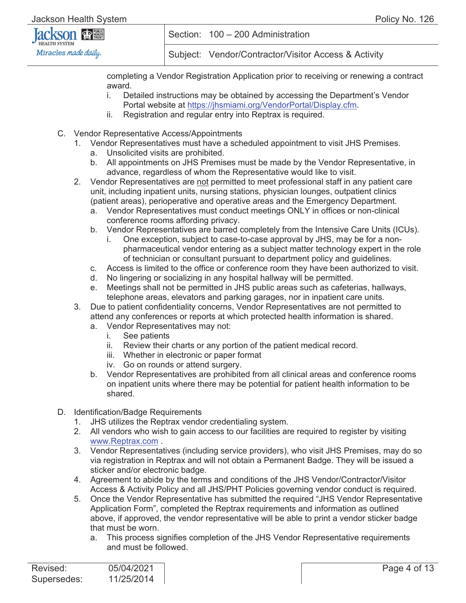| <b>Jackson The NEW</b> | Section: 100 - 200 Administration                    |  |
|------------------------|------------------------------------------------------|--|
| Miracles made daily.   | Subject: Vendor/Contractor/Visitor Access & Activity |  |

completing a Vendor Registration Application prior to receiving or renewing a contract award.

- i. Detailed instructions may be obtained by accessing the Department's Vendor Portal website at https://jhsmiami.org/VendorPortal/Display.cfm.
- ii. Registration and regular entry into Reptrax is required.
- C. Vendor Representative Access/Appointments
	- 1. Vendor Representatives must have a scheduled appointment to visit JHS Premises.
		- a. Unsolicited visits are prohibited.
		- b. All appointments on JHS Premises must be made by the Vendor Representative, in advance, regardless of whom the Representative would like to visit.
	- 2. Vendor Representatives are not permitted to meet professional staff in any patient care unit, including inpatient units, nursing stations, physician lounges, outpatient clinics (patient areas), perioperative and operative areas and the Emergency Department.
		- a. Vendor Representatives must conduct meetings ONLY in offices or non-clinical conference rooms affording privacy.
		- b. Vendor Representatives are barred completely from the Intensive Care Units (ICUs).
			- i. One exception, subject to case-to-case approval by JHS, may be for a nonpharmaceutical vendor entering as a subject matter technology expert in the role of technician or consultant pursuant to department policy and guidelines.
		- c. Access is limited to the office or conference room they have been authorized to visit.
		- d. No lingering or socializing in any hospital hallway will be permitted.
		- e. Meetings shall not be permitted in JHS public areas such as cafeterias, hallways, telephone areas, elevators and parking garages, nor in inpatient care units.
	- 3. Due to patient confidentiality concerns, Vendor Representatives are not permitted to attend any conferences or reports at which protected health information is shared.
		- a. Vendor Representatives may not:
			- i. See patients
			- ii. Review their charts or any portion of the patient medical record.
			- iii. Whether in electronic or paper format
			- iv. Go on rounds or attend surgery.
		- b. Vendor Representatives are prohibited from all clinical areas and conference rooms on inpatient units where there may be potential for patient health information to be shared.
- D. Identification/Badge Requirements
	- 1. JHS utilizes the Reptrax vendor credentialing system.
	- 2. All vendors who wish to gain access to our facilities are required to register by visiting www.Reptrax.com .
	- 3. Vendor Representatives (including service providers), who visit JHS Premises, may do so via registration in Reptrax and will not obtain a Permanent Badge. They will be issued a sticker and/or electronic badge.
	- 4. Agreement to abide by the terms and conditions of the JHS Vendor/Contractor/Visitor Access & Activity Policy and all JHS/PHT Policies governing vendor conduct is required.
	- 5. Once the Vendor Representative has submitted the required "JHS Vendor Representative Application Form", completed the Reptrax requirements and information as outlined above, if approved, the vendor representative will be able to print a vendor sticker badge that must be worn.
		- a. This process signifies completion of the JHS Vendor Representative requirements and must be followed.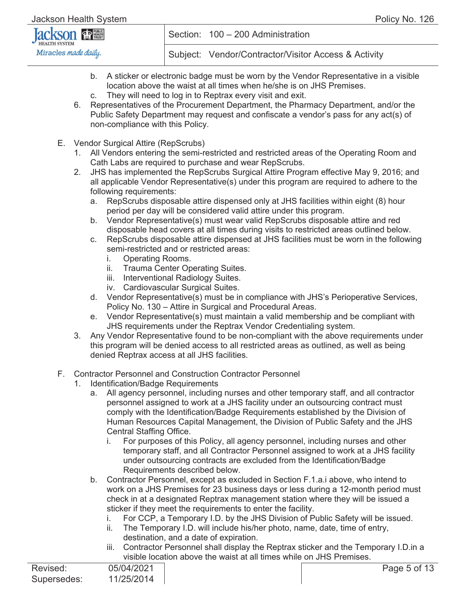| <b>Jackson FREE</b>  |  |
|----------------------|--|
| Miracles made daily. |  |

- b. A sticker or electronic badge must be worn by the Vendor Representative in a visible location above the waist at all times when he/she is on JHS Premises.
- c. They will need to log in to Reptrax every visit and exit.
- 6. Representatives of the Procurement Department, the Pharmacy Department, and/or the Public Safety Department may request and confiscate a vendor's pass for any act(s) of non-compliance with this Policy.
- E. Vendor Surgical Attire (RepScrubs)
	- 1. All Vendors entering the semi-restricted and restricted areas of the Operating Room and Cath Labs are required to purchase and wear RepScrubs.
	- 2. JHS has implemented the RepScrubs Surgical Attire Program effective May 9, 2016; and all applicable Vendor Representative(s) under this program are required to adhere to the following requirements:
		- a. RepScrubs disposable attire dispensed only at JHS facilities within eight (8) hour period per day will be considered valid attire under this program.
		- b. Vendor Representative(s) must wear valid RepScrubs disposable attire and red disposable head covers at all times during visits to restricted areas outlined below.
		- c. RepScrubs disposable attire dispensed at JHS facilities must be worn in the following semi-restricted and or restricted areas:
			- i. Operating Rooms.
			- ii. Trauma Center Operating Suites.
			- iii. Interventional Radiology Suites.
			- iv. Cardiovascular Surgical Suites.
		- d. Vendor Representative(s) must be in compliance with JHS's Perioperative Services, Policy No. 130 – Attire in Surgical and Procedural Areas.
		- e. Vendor Representative(s) must maintain a valid membership and be compliant with JHS requirements under the Reptrax Vendor Credentialing system.
	- 3. Any Vendor Representative found to be non-compliant with the above requirements under this program will be denied access to all restricted areas as outlined, as well as being denied Reptrax access at all JHS facilities.
- F. Contractor Personnel and Construction Contractor Personnel
	- 1. Identification/Badge Requirements
		- a. All agency personnel, including nurses and other temporary staff, and all contractor personnel assigned to work at a JHS facility under an outsourcing contract must comply with the Identification/Badge Requirements established by the Division of Human Resources Capital Management, the Division of Public Safety and the JHS Central Staffing Office.
			- i. For purposes of this Policy, all agency personnel, including nurses and other temporary staff, and all Contractor Personnel assigned to work at a JHS facility under outsourcing contracts are excluded from the Identification/Badge Requirements described below.
		- b. Contractor Personnel, except as excluded in Section F.1.a.i above, who intend to work on a JHS Premises for 23 business days or less during a 12-month period must check in at a designated Reptrax management station where they will be issued a sticker if they meet the requirements to enter the facility.
			- i. For CCP, a Temporary I.D. by the JHS Division of Public Safety will be issued.
			- ii. The Temporary I.D. will include his/her photo, name, date, time of entry, destination, and a date of expiration.
			- iii. Contractor Personnel shall display the Reptrax sticker and the Temporary I.D.in a visible location above the waist at all times while on JHS Premises.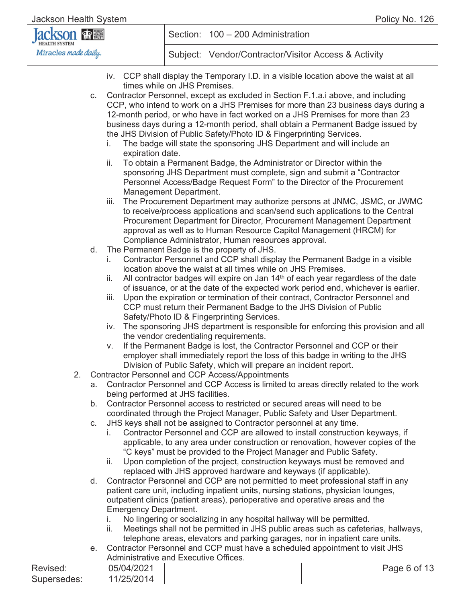| <b>Jackson DEN</b>   | Section: 100 - 200 Administration                    |  |
|----------------------|------------------------------------------------------|--|
| Miracles made daily. | Subject: Vendor/Contractor/Visitor Access & Activity |  |

- iv. CCP shall display the Temporary I.D. in a visible location above the waist at all times while on JHS Premises.
- c. Contractor Personnel, except as excluded in Section F.1.a.i above, and including CCP, who intend to work on a JHS Premises for more than 23 business days during a 12-month period, or who have in fact worked on a JHS Premises for more than 23 business days during a 12-month period, shall obtain a Permanent Badge issued by the JHS Division of Public Safety/Photo ID & Fingerprinting Services.
	- i. The badge will state the sponsoring JHS Department and will include an expiration date.
	- ii. To obtain a Permanent Badge, the Administrator or Director within the sponsoring JHS Department must complete, sign and submit a "Contractor Personnel Access/Badge Request Form" to the Director of the Procurement Management Department.
	- iii. The Procurement Department may authorize persons at JNMC, JSMC, or JWMC to receive/process applications and scan/send such applications to the Central Procurement Department for Director, Procurement Management Department approval as well as to Human Resource Capitol Management (HRCM) for Compliance Administrator, Human resources approval.
- d. The Permanent Badge is the property of JHS.
	- i. Contractor Personnel and CCP shall display the Permanent Badge in a visible location above the waist at all times while on JHS Premises.
	- ii. All contractor badges will expire on Jan  $14<sup>th</sup>$  of each year regardless of the date of issuance, or at the date of the expected work period end, whichever is earlier.
	- iii. Upon the expiration or termination of their contract, Contractor Personnel and CCP must return their Permanent Badge to the JHS Division of Public Safety/Photo ID & Fingerprinting Services.
	- iv. The sponsoring JHS department is responsible for enforcing this provision and all the vendor credentialing requirements.
	- v. If the Permanent Badge is lost, the Contractor Personnel and CCP or their employer shall immediately report the loss of this badge in writing to the JHS Division of Public Safety, which will prepare an incident report.
- 2. Contractor Personnel and CCP Access/Appointments
	- a. Contractor Personnel and CCP Access is limited to areas directly related to the work being performed at JHS facilities.
	- b. Contractor Personnel access to restricted or secured areas will need to be coordinated through the Project Manager, Public Safety and User Department.
	- c. JHS keys shall not be assigned to Contractor personnel at any time.
		- i. Contractor Personnel and CCP are allowed to install construction keyways, if applicable, to any area under construction or renovation, however copies of the "C keys" must be provided to the Project Manager and Public Safety.
		- ii. Upon completion of the project, construction keyways must be removed and replaced with JHS approved hardware and keyways (if applicable).
	- d. Contractor Personnel and CCP are not permitted to meet professional staff in any patient care unit, including inpatient units, nursing stations, physician lounges, outpatient clinics (patient areas), perioperative and operative areas and the Emergency Department.
		- i. No lingering or socializing in any hospital hallway will be permitted.
		- ii. Meetings shall not be permitted in JHS public areas such as cafeterias, hallways, telephone areas, elevators and parking garages, nor in inpatient care units.
	- e. Contractor Personnel and CCP must have a scheduled appointment to visit JHS Administrative and Executive Offices.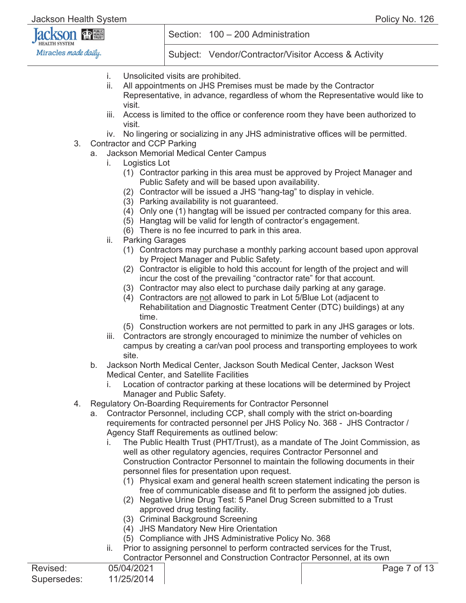| <b>Jackson since</b> |  |
|----------------------|--|
| Miracles made daily. |  |

- i. Unsolicited visits are prohibited.
- ii. All appointments on JHS Premises must be made by the Contractor Representative, in advance, regardless of whom the Representative would like to visit.
- iii. Access is limited to the office or conference room they have been authorized to visit.
- iv. No lingering or socializing in any JHS administrative offices will be permitted.
- 3. Contractor and CCP Parking
	- a. Jackson Memorial Medical Center Campus
		- i. Logistics Lot
			- (1) Contractor parking in this area must be approved by Project Manager and Public Safety and will be based upon availability.
			- (2) Contractor will be issued a JHS "hang-tag" to display in vehicle.
			- (3) Parking availability is not guaranteed.
			- (4) Only one (1) hangtag will be issued per contracted company for this area.
			- (5) Hangtag will be valid for length of contractor's engagement.
			- (6) There is no fee incurred to park in this area.
			- ii. Parking Garages
				- (1) Contractors may purchase a monthly parking account based upon approval by Project Manager and Public Safety.
				- (2) Contractor is eligible to hold this account for length of the project and will incur the cost of the prevailing "contractor rate" for that account.
				- (3) Contractor may also elect to purchase daily parking at any garage.
				- (4) Contractors are not allowed to park in Lot 5/Blue Lot (adjacent to Rehabilitation and Diagnostic Treatment Center (DTC) buildings) at any time.
				- (5) Construction workers are not permitted to park in any JHS garages or lots.
			- iii. Contractors are strongly encouraged to minimize the number of vehicles on campus by creating a car/van pool process and transporting employees to work site.
	- b. Jackson North Medical Center, Jackson South Medical Center, Jackson West Medical Center, and Satellite Facilities
		- i. Location of contractor parking at these locations will be determined by Project Manager and Public Safety.
- 4. Regulatory On-Boarding Requirements for Contractor Personnel
	- a. Contractor Personnel, including CCP, shall comply with the strict on-boarding requirements for contracted personnel per JHS Policy No. 368 - JHS Contractor / Agency Staff Requirements as outlined below:
		- i. The Public Health Trust (PHT/Trust), as a mandate of The Joint Commission, as well as other regulatory agencies, requires Contractor Personnel and Construction Contractor Personnel to maintain the following documents in their personnel files for presentation upon request.
			- (1) Physical exam and general health screen statement indicating the person is free of communicable disease and fit to perform the assigned job duties.
			- (2) Negative Urine Drug Test: 5 Panel Drug Screen submitted to a Trust approved drug testing facility.
			- (3) Criminal Background Screening
			- (4) JHS Mandatory New Hire Orientation
			- (5) Compliance with JHS Administrative Policy No. 368
		- ii. Prior to assigning personnel to perform contracted services for the Trust, Contractor Personnel and Construction Contractor Personnel, at its own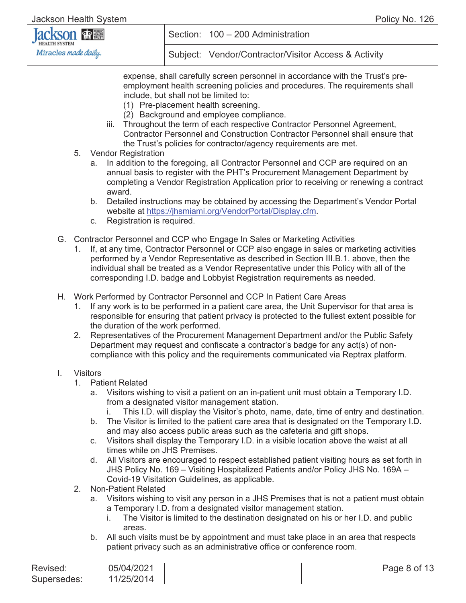

Subject: Vendor/Contractor/Visitor Access & Activity

expense, shall carefully screen personnel in accordance with the Trust's preemployment health screening policies and procedures. The requirements shall include, but shall not be limited to:

- (1) Pre-placement health screening.
- (2) Background and employee compliance.
- iii. Throughout the term of each respective Contractor Personnel Agreement, Contractor Personnel and Construction Contractor Personnel shall ensure that the Trust's policies for contractor/agency requirements are met.
- 5. Vendor Registration
	- a. In addition to the foregoing, all Contractor Personnel and CCP are required on an annual basis to register with the PHT's Procurement Management Department by completing a Vendor Registration Application prior to receiving or renewing a contract award.
	- b. Detailed instructions may be obtained by accessing the Department's Vendor Portal website at https://jhsmiami.org/VendorPortal/Display.cfm.
	- c. Registration is required.
- G. Contractor Personnel and CCP who Engage In Sales or Marketing Activities
	- 1. If, at any time, Contractor Personnel or CCP also engage in sales or marketing activities performed by a Vendor Representative as described in Section III.B.1. above, then the individual shall be treated as a Vendor Representative under this Policy with all of the corresponding I.D. badge and Lobbyist Registration requirements as needed.
- H. Work Performed by Contractor Personnel and CCP In Patient Care Areas
	- 1. If any work is to be performed in a patient care area, the Unit Supervisor for that area is responsible for ensuring that patient privacy is protected to the fullest extent possible for the duration of the work performed.
	- 2. Representatives of the Procurement Management Department and/or the Public Safety Department may request and confiscate a contractor's badge for any act(s) of noncompliance with this policy and the requirements communicated via Reptrax platform.

#### I. Visitors

- 1. Patient Related
	- a. Visitors wishing to visit a patient on an in-patient unit must obtain a Temporary I.D. from a designated visitor management station.
		- This I.D. will display the Visitor's photo, name, date, time of entry and destination.
	- b. The Visitor is limited to the patient care area that is designated on the Temporary I.D. and may also access public areas such as the cafeteria and gift shops.
	- c. Visitors shall display the Temporary I.D. in a visible location above the waist at all times while on JHS Premises.
	- d. All Visitors are encouraged to respect established patient visiting hours as set forth in JHS Policy No. 169 – Visiting Hospitalized Patients and/or Policy JHS No. 169A – Covid-19 Visitation Guidelines, as applicable.
- 2. Non-Patient Related
	- a. Visitors wishing to visit any person in a JHS Premises that is not a patient must obtain a Temporary I.D. from a designated visitor management station.
		- i. The Visitor is limited to the destination designated on his or her I.D. and public areas.
	- b. All such visits must be by appointment and must take place in an area that respects patient privacy such as an administrative office or conference room.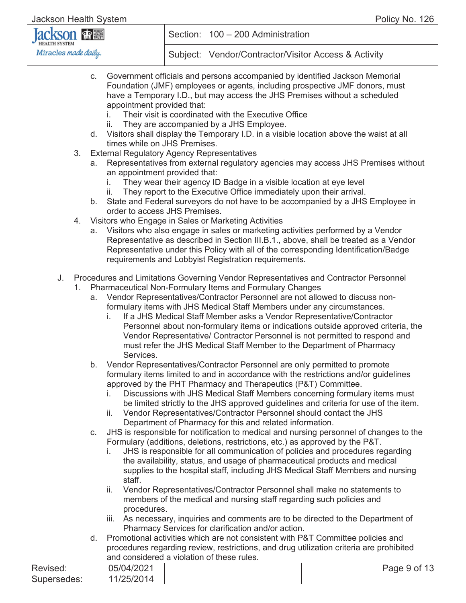Jackson Health System Policy No. 126

#### KSON **金體 HEALTH SYSTEM** Miracles made daily.

Section: 100 – 200 Administration

- c. Government officials and persons accompanied by identified Jackson Memorial Foundation (JMF) employees or agents, including prospective JMF donors, must have a Temporary I.D., but may access the JHS Premises without a scheduled appointment provided that:
	- i. Their visit is coordinated with the Executive Office
	- ii. They are accompanied by a JHS Employee.
- d. Visitors shall display the Temporary I.D. in a visible location above the waist at all times while on JHS Premises.
- 3. External Regulatory Agency Representatives
	- a. Representatives from external regulatory agencies may access JHS Premises without an appointment provided that:
		- i. They wear their agency ID Badge in a visible location at eye level
		- ii. They report to the Executive Office immediately upon their arrival.
	- b. State and Federal surveyors do not have to be accompanied by a JHS Employee in order to access JHS Premises.
- 4. Visitors who Engage in Sales or Marketing Activities
	- a. Visitors who also engage in sales or marketing activities performed by a Vendor Representative as described in Section III.B.1., above, shall be treated as a Vendor Representative under this Policy with all of the corresponding Identification/Badge requirements and Lobbyist Registration requirements.
- J. Procedures and Limitations Governing Vendor Representatives and Contractor Personnel
	- 1. Pharmaceutical Non-Formulary Items and Formulary Changes
		- a. Vendor Representatives/Contractor Personnel are not allowed to discuss nonformulary items with JHS Medical Staff Members under any circumstances.
			- i. If a JHS Medical Staff Member asks a Vendor Representative/Contractor Personnel about non-formulary items or indications outside approved criteria, the Vendor Representative/ Contractor Personnel is not permitted to respond and must refer the JHS Medical Staff Member to the Department of Pharmacy Services.
		- b. Vendor Representatives/Contractor Personnel are only permitted to promote formulary items limited to and in accordance with the restrictions and/or guidelines approved by the PHT Pharmacy and Therapeutics (P&T) Committee.
			- i. Discussions with JHS Medical Staff Members concerning formulary items must be limited strictly to the JHS approved guidelines and criteria for use of the item.
			- ii. Vendor Representatives/Contractor Personnel should contact the JHS Department of Pharmacy for this and related information.
		- c. JHS is responsible for notification to medical and nursing personnel of changes to the Formulary (additions, deletions, restrictions, etc.) as approved by the P&T.
			- i. JHS is responsible for all communication of policies and procedures regarding the availability, status, and usage of pharmaceutical products and medical supplies to the hospital staff, including JHS Medical Staff Members and nursing staff.
			- ii. Vendor Representatives/Contractor Personnel shall make no statements to members of the medical and nursing staff regarding such policies and procedures.
			- iii. As necessary, inquiries and comments are to be directed to the Department of Pharmacy Services for clarification and/or action.
		- d. Promotional activities which are not consistent with P&T Committee policies and procedures regarding review, restrictions, and drug utilization criteria are prohibited and considered a violation of these rules.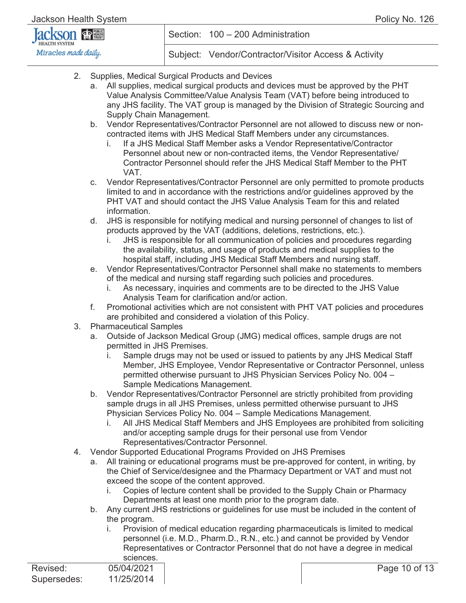| <b>Jackson The SECON SECOND</b> |  |
|---------------------------------|--|
| Miracles made daily.            |  |

- 2. Supplies, Medical Surgical Products and Devices
	- a. All supplies, medical surgical products and devices must be approved by the PHT Value Analysis Committee/Value Analysis Team (VAT) before being introduced to any JHS facility. The VAT group is managed by the Division of Strategic Sourcing and Supply Chain Management.
	- b. Vendor Representatives/Contractor Personnel are not allowed to discuss new or noncontracted items with JHS Medical Staff Members under any circumstances.
		- i. If a JHS Medical Staff Member asks a Vendor Representative/Contractor Personnel about new or non-contracted items, the Vendor Representative/ Contractor Personnel should refer the JHS Medical Staff Member to the PHT VAT.
	- c. Vendor Representatives/Contractor Personnel are only permitted to promote products limited to and in accordance with the restrictions and/or guidelines approved by the PHT VAT and should contact the JHS Value Analysis Team for this and related information.
	- d. JHS is responsible for notifying medical and nursing personnel of changes to list of products approved by the VAT (additions, deletions, restrictions, etc.).
		- i. JHS is responsible for all communication of policies and procedures regarding the availability, status, and usage of products and medical supplies to the hospital staff, including JHS Medical Staff Members and nursing staff.
	- e. Vendor Representatives/Contractor Personnel shall make no statements to members of the medical and nursing staff regarding such policies and procedures.
		- i. As necessary, inquiries and comments are to be directed to the JHS Value Analysis Team for clarification and/or action.
	- f. Promotional activities which are not consistent with PHT VAT policies and procedures are prohibited and considered a violation of this Policy.
- 3. Pharmaceutical Samples
	- a. Outside of Jackson Medical Group (JMG) medical offices, sample drugs are not permitted in JHS Premises.
		- i. Sample drugs may not be used or issued to patients by any JHS Medical Staff Member, JHS Employee, Vendor Representative or Contractor Personnel, unless permitted otherwise pursuant to JHS Physician Services Policy No. 004 – Sample Medications Management.
	- b. Vendor Representatives/Contractor Personnel are strictly prohibited from providing sample drugs in all JHS Premises, unless permitted otherwise pursuant to JHS Physician Services Policy No. 004 – Sample Medications Management.
		- i. All JHS Medical Staff Members and JHS Employees are prohibited from soliciting and/or accepting sample drugs for their personal use from Vendor Representatives/Contractor Personnel.
- 4. Vendor Supported Educational Programs Provided on JHS Premises
	- a. All training or educational programs must be pre-approved for content, in writing, by the Chief of Service/designee and the Pharmacy Department or VAT and must not exceed the scope of the content approved.
		- i. Copies of lecture content shall be provided to the Supply Chain or Pharmacy Departments at least one month prior to the program date.
	- b. Any current JHS restrictions or guidelines for use must be included in the content of the program.
		- i. Provision of medical education regarding pharmaceuticals is limited to medical personnel (i.e. M.D., Pharm.D., R.N., etc.) and cannot be provided by Vendor Representatives or Contractor Personnel that do not have a degree in medical sciences.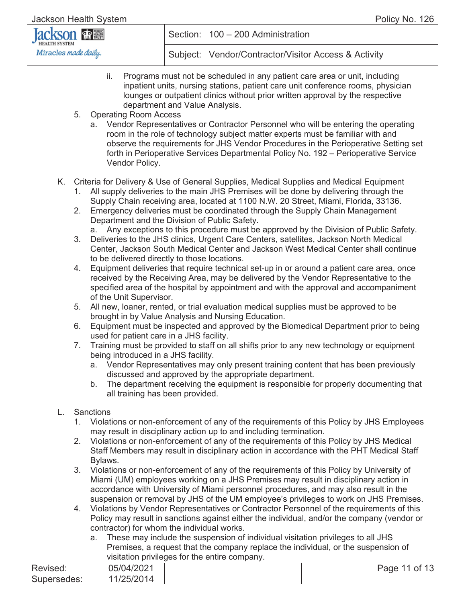| <b>Jackson since</b> |  |  |  |  |
|----------------------|--|--|--|--|
| Miracles made daily. |  |  |  |  |

- ii. Programs must not be scheduled in any patient care area or unit, including inpatient units, nursing stations, patient care unit conference rooms, physician lounges or outpatient clinics without prior written approval by the respective department and Value Analysis.
- 5. Operating Room Access
	- a. Vendor Representatives or Contractor Personnel who will be entering the operating room in the role of technology subject matter experts must be familiar with and observe the requirements for JHS Vendor Procedures in the Perioperative Setting set forth in Perioperative Services Departmental Policy No. 192 – Perioperative Service Vendor Policy.
- K. Criteria for Delivery & Use of General Supplies, Medical Supplies and Medical Equipment
	- 1. All supply deliveries to the main JHS Premises will be done by delivering through the Supply Chain receiving area, located at 1100 N.W. 20 Street, Miami, Florida, 33136.
	- 2. Emergency deliveries must be coordinated through the Supply Chain Management Department and the Division of Public Safety.
		- a. Any exceptions to this procedure must be approved by the Division of Public Safety.
	- 3. Deliveries to the JHS clinics, Urgent Care Centers, satellites, Jackson North Medical Center, Jackson South Medical Center and Jackson West Medical Center shall continue to be delivered directly to those locations.
	- 4. Equipment deliveries that require technical set-up in or around a patient care area, once received by the Receiving Area, may be delivered by the Vendor Representative to the specified area of the hospital by appointment and with the approval and accompaniment of the Unit Supervisor.
	- 5. All new, loaner, rented, or trial evaluation medical supplies must be approved to be brought in by Value Analysis and Nursing Education.
	- 6. Equipment must be inspected and approved by the Biomedical Department prior to being used for patient care in a JHS facility.
	- 7. Training must be provided to staff on all shifts prior to any new technology or equipment being introduced in a JHS facility.
		- a. Vendor Representatives may only present training content that has been previously discussed and approved by the appropriate department.
		- b. The department receiving the equipment is responsible for properly documenting that all training has been provided.
- L. Sanctions
	- 1. Violations or non-enforcement of any of the requirements of this Policy by JHS Employees may result in disciplinary action up to and including termination.
	- 2. Violations or non-enforcement of any of the requirements of this Policy by JHS Medical Staff Members may result in disciplinary action in accordance with the PHT Medical Staff Bylaws.
	- 3. Violations or non-enforcement of any of the requirements of this Policy by University of Miami (UM) employees working on a JHS Premises may result in disciplinary action in accordance with University of Miami personnel procedures, and may also result in the suspension or removal by JHS of the UM employee's privileges to work on JHS Premises.
	- 4. Violations by Vendor Representatives or Contractor Personnel of the requirements of this Policy may result in sanctions against either the individual, and/or the company (vendor or contractor) for whom the individual works.
		- a. These may include the suspension of individual visitation privileges to all JHS Premises, a request that the company replace the individual, or the suspension of visitation privileges for the entire company.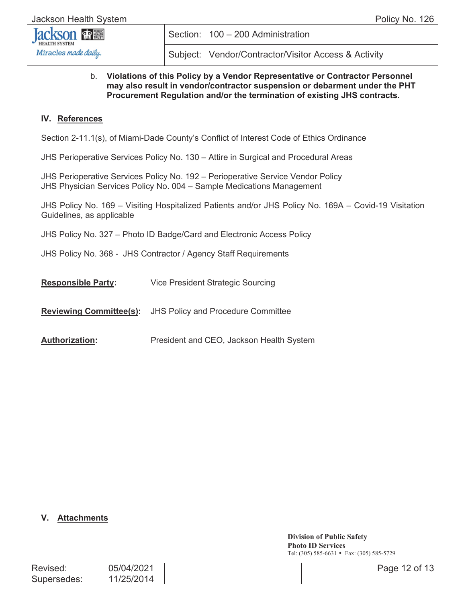

Subject: Vendor/Contractor/Visitor Access & Activity

#### b. **Violations of this Policy by a Vendor Representative or Contractor Personnel may also result in vendor/contractor suspension or debarment under the PHT Procurement Regulation and/or the termination of existing JHS contracts.**

#### **IV. References**

Section 2-11.1(s), of Miami-Dade County's Conflict of Interest Code of Ethics Ordinance

JHS Perioperative Services Policy No. 130 – Attire in Surgical and Procedural Areas

JHS Perioperative Services Policy No. 192 – Perioperative Service Vendor Policy JHS Physician Services Policy No. 004 – Sample Medications Management

JHS Policy No. 169 – Visiting Hospitalized Patients and/or JHS Policy No. 169A – Covid-19 Visitation Guidelines, as applicable

JHS Policy No. 327 – Photo ID Badge/Card and Electronic Access Policy

JHS Policy No. 368 - JHS Contractor / Agency Staff Requirements

**Responsible Party:** Vice President Strategic Sourcing

**Reviewing Committee(s):** JHS Policy and Procedure Committee

**Authorization:** President and CEO, Jackson Health System

#### **V. Attachments**

**Division of Public Safety Photo ID Services** Tel: (305) 585-6631 • Fax: (305) 585-5729

| Revised:    | 05/04/2021 |
|-------------|------------|
| Supersedes: | 11/25/2014 |